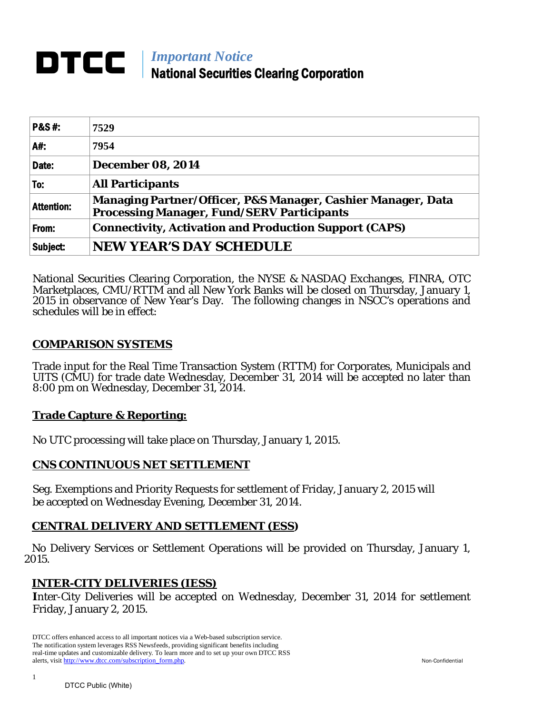#### *Important Notice* DTCC National Securities Clearing Corporation

| <b>P&amp;S#:</b>  | 7529                                                                                                              |
|-------------------|-------------------------------------------------------------------------------------------------------------------|
| A#:               | 7954                                                                                                              |
| Date:             | <b>December 08, 2014</b>                                                                                          |
| To:               | <b>All Participants</b>                                                                                           |
| <b>Attention:</b> | Managing Partner/Officer, P&S Manager, Cashier Manager, Data<br><b>Processing Manager, Fund/SERV Participants</b> |
| From:             | <b>Connectivity, Activation and Production Support (CAPS)</b>                                                     |
| Subject:          | <b>NEW YEAR'S DAY SCHEDULE</b>                                                                                    |

National Securities Clearing Corporation, the NYSE & NASDAQ Exchanges, FINRA, OTC Marketplaces, CMU/RTTM and all New York Banks will be closed on Thursday, January 1, 2015 in observance of New Year's Day. The following changes in NSCC's operations and schedules will be in effect:

## **COMPARISON SYSTEMS**

Trade input for the Real Time Transaction System (RTTM) for Corporates, Municipals and UITS (CMU) for trade date Wednesday, December 31, 2014 will be accepted no later than 8:00 pm on Wednesday, December 31, 2014.

## **Trade Capture & Reporting:**

No UTC processing will take place on Thursday, January 1, 2015.

## **CNS CONTINUOUS NET SETTLEMENT**

Seg. Exemptions and Priority Requests for settlement of Friday, January 2, 2015 will be accepted on Wednesday Evening, December 31, 2014.

## **CENTRAL DELIVERY AND SETTLEMENT (ESS)**

 No Delivery Services or Settlement Operations will be provided on Thursday, January 1, 2015.

## **INTER-CITY DELIVERIES (IESS)**

**I**nter-City Deliveries will be accepted on Wednesday, December 31, 2014 for settlement Friday, January 2, 2015.

DTCC offers enhanced access to all important notices via a Web-based subscription service. The notification system leverages RSS Newsfeeds, providing significant benefits including real-time updates and customizable delivery. To learn more and to set up your own DTCC RSS alerts, visit [http://www.dtcc.com/subscription\\_form.php.](http://www.dtcc.com/subscription_form.php) Non-Confidential

1